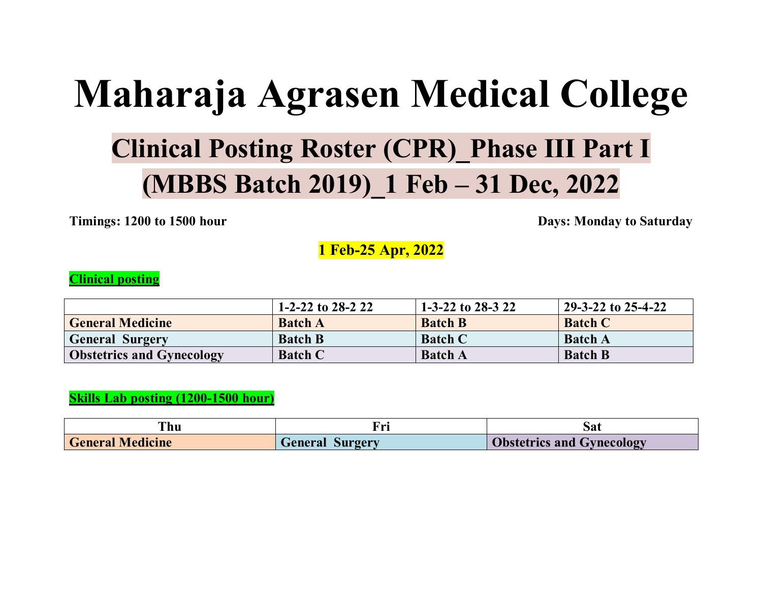# **Maharaja Agrasen Medical College**

# **Clinical Posting Roster (CPR)\_Phase III Part I (MBBS Batch 2019)\_1 Feb – 31 Dec, 2022**

**Timings: 1200 to 1500 hour** Days: Monday to Saturday

**1 Feb-25 Apr, 2022**

#### **Clinical posting**

|                                  | 1-2-22 to 28-2 22 | $1-3-22$ to 28-3 22 | 29-3-22 to 25-4-22 |
|----------------------------------|-------------------|---------------------|--------------------|
| <b>General Medicine</b>          | <b>Batch A</b>    | <b>Batch B</b>      | <b>Batch C</b>     |
| <b>General Surgery</b>           | <b>Batch B</b>    | <b>Batch C</b>      | <b>Batch A</b>     |
| <b>Obstetrics and Gynecology</b> | <b>Batch C</b>    | <b>Batch A</b>      | <b>Batch B</b>     |

#### **Skills Lab posting (1200-1500 hour)**

| . nu                    |                 | Sat                              |
|-------------------------|-----------------|----------------------------------|
| <b>General Medicine</b> | General Surgery | <b>Obstetrics and Gynecology</b> |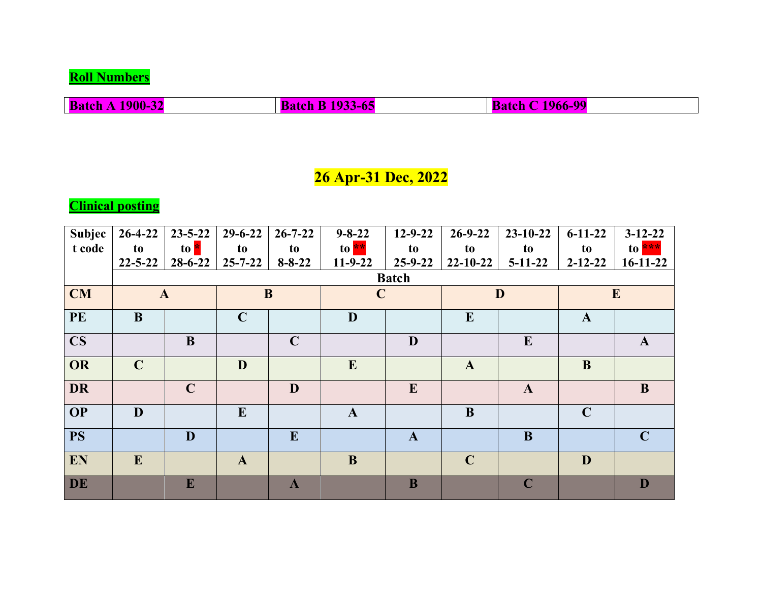**Roll Numbers**

**Batch A 1900-32 Batch B 1933-65 Batch C 1966-99** 

## **26 Apr-31 Dec, 2022**

**Clinical posting**

| Subjec    | $26 - 4 - 22$ | $23 - 5 - 22$ | $29 - 6 - 22$ | $26 - 7 - 22$ | $9 - 8 - 22$ | $12 - 9 - 22$ | $26 - 9 - 22$  | $23 - 10 - 22$ | $6 - 11 - 22$ | $3-12-22$    |
|-----------|---------------|---------------|---------------|---------------|--------------|---------------|----------------|----------------|---------------|--------------|
| t code    | to            | to <b>*</b>   | to            | to            | to $**$      | to            | to             | to             | to            | to ***       |
|           | $22 - 5 - 22$ | $28 - 6 - 22$ | $25 - 7 - 22$ | $8 - 8 - 22$  | $11-9-22$    | $25 - 9 - 22$ | $22 - 10 - 22$ | $5-11-22$      | $2 - 12 - 22$ | $16-11-22$   |
|           |               |               |               |               |              | <b>Batch</b>  |                |                |               |              |
| <b>CM</b> |               | $\mathbf{A}$  | B             |               | $\mathbf C$  |               |                | D              |               | $\mathbf{E}$ |
| <b>PE</b> | B             |               | $\mathbf C$   |               | D            |               | $\bf{E}$       |                | $\mathbf{A}$  |              |
| <b>CS</b> |               | B             |               | $\mathbf C$   |              | D             |                | E              |               | $\mathbf{A}$ |
| OR        | $\mathbf C$   |               | D             |               | E            |               | $\mathbf{A}$   |                | B             |              |
| <b>DR</b> |               | $\mathbf C$   |               | D             |              | E             |                | $\mathbf{A}$   |               | B            |
| <b>OP</b> | D             |               | E             |               | $\mathbf{A}$ |               | $\bf{B}$       |                | $\mathbf C$   |              |
| <b>PS</b> |               | D             |               | E             |              | $\mathbf{A}$  |                | B              |               | $\mathbf C$  |
| EN        | E             |               | $\mathbf{A}$  |               | B            |               | $\mathbf C$    |                | D             |              |
| DE        |               | E             |               | $\mathbf{A}$  |              | B             |                | $\mathbf C$    |               | D            |